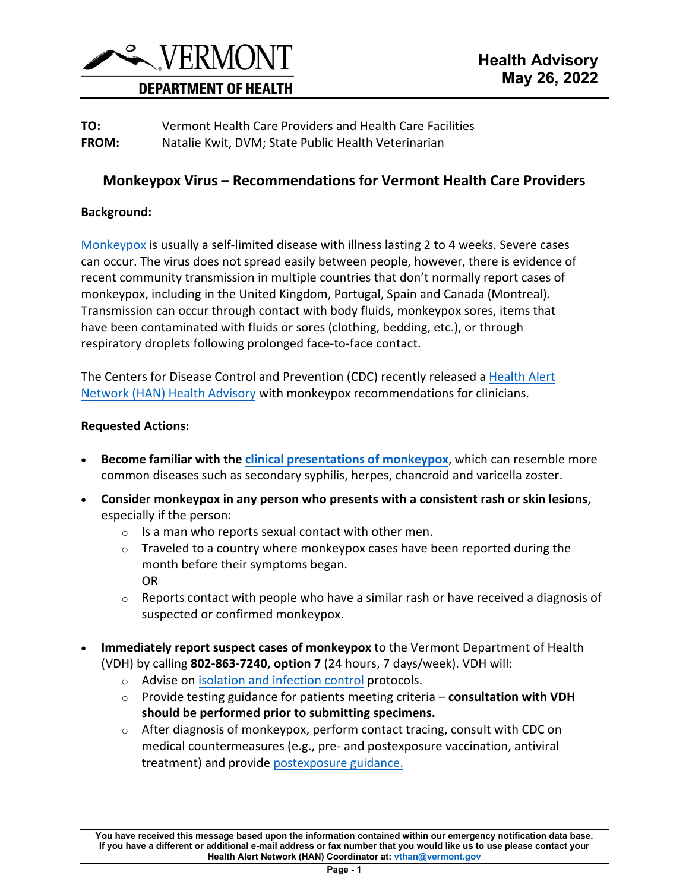

# **DEPARTMENT OF HEALTH**

**TO:** Vermont Health Care Providers and Health Care Facilities **FROM:** Natalie Kwit, DVM; State Public Health Veterinarian

## **Monkeypox Virus – Recommendations for Vermont Health Care Providers**

#### **Background:**

[Monkeypox](https://www.cdc.gov/poxvirus/monkeypox/index.html) is usually a self-limited disease with illness lasting 2 to 4 weeks. Severe cases can occur. The virus does not spread easily between people, however, there is evidence of recent community transmission in multiple countries that don't normally report cases of monkeypox, including in the United Kingdom, Portugal, Spain and Canada (Montreal). Transmission can occur through contact with body fluids, monkeypox sores, items that have been contaminated with fluids or sores (clothing, bedding, etc.), or through respiratory droplets following prolonged face-to-face contact.

The Centers for Disease [Control and Prevention \(CDC\) recently released a](https://emergency.cdc.gov/han/2022/han00466.asp?ACSTrackingID=USCDCNPIN_122-DM82518&ACSTrackingLabel=CDC%20Health%20Alert%3A%20Monkeypox%20Virus&deliveryName=USCDCNPIN_122-DM82518) Health Alert Network (HAN) Health Advisory with monkeypox recommendations for clinicians.

#### **Requested Actions:**

- **Become familiar with the [clinical presentations of](https://www.cdc.gov/poxvirus/monkeypox/clinicians/clinical-recognition.html) monkeypox**, which can resemble more common diseases such as secondary syphilis, herpes, chancroid and varicella zoster.
- **Consider monkeypox in any person who presents with a consistent rash or skin lesions**, especially if the person:
	- $\circ$  Is a man who reports sexual contact with other men.
	- $\circ$  Traveled to a country where monkeypox cases have been reported during the month before their symptoms began. OR
	- $\circ$  Reports contact with people who have a similar rash or have received a diagnosis of suspected or confirmed monkeypox.
- **Immediately report suspect cases of monkeypox** to the Vermont Department of Health (VDH) by calling **802-863-7240, option 7** (24 hours, 7 days/week). VDH will:
	- o Advise on isolation [and infection control](https://www.cdc.gov/poxvirus/monkeypox/clinicians/infection-control-hospital.html) protocols.
	- o Provide testing guidance for patients meeting criteria **consultation with VDH should be performed prior to submitting specimens.**
	- $\circ$  After diagnosis of monkeypox, perform contact tracing, consult with CDC on medical countermeasures (e.g., pre- and postexposure vaccination, antiviral treatment) and provide [postexposure](https://www.cdc.gov/poxvirus/monkeypox/clinicians/monitoring.html#exposure) guidance.

**You have received this message based upon the information contained within our emergency notification data base. If you have a different or additional e-mail address or fax number that you would like us to use please contact your Health Alert Network (HAN) Coordinator at[: vthan@vermont.gov](mailto:vthan@vermont.gov)**